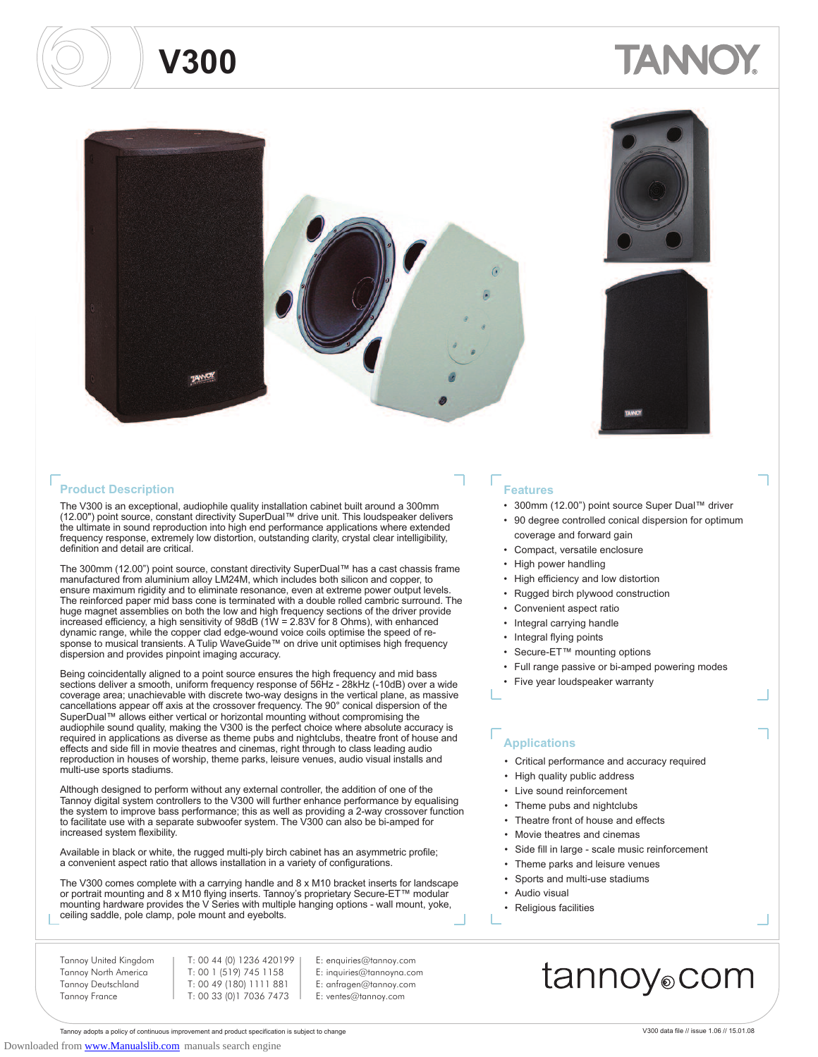

#### **Product Description Features**

The V300 is an exceptional, audiophile quality installation cabinet built around a 300mm (12.00") point source, constant directivity SuperDual™ drive unit. This loudspeaker delivers the ultimate in sound reproduction into high end performance applications where extended frequency response, extremely low distortion, outstanding clarity, crystal clear intelligibility, definition and detail are critical.

The 300mm (12.00") point source, constant directivity SuperDual™ has a cast chassis frame manufactured from aluminium alloy LM24M, which includes both silicon and copper, to ensure maximum rigidity and to eliminate resonance, even at extreme power output levels. The reinforced paper mid bass cone is terminated with a double rolled cambric surround. The huge magnet assemblies on both the low and high frequency sections of the driver provide increased efficiency, a high sensitivity of 98dB (1W = 2.83V for 8 Ohms), with enhanced dynamic range, while the copper clad edge-wound voice coils optimise the speed of re-<br>sponse to musical transients. A Tulip WaveGuide™ on drive unit optimises high frequency dispersion and provides pinpoint imaging accuracy.

Being coincidentally aligned to a point source ensures the high frequency and mid bass sections deliver a smooth, uniform frequency response of 56Hz - 28kHz (-10dB) over a wide coverage area; unachievable with discrete two-way designs in the vertical plane, as massive cancellations appear off axis at the crossover frequency. The 90° conical dispersion of the SuperDual™ allows either vertical or horizontal mounting without compromising the audiophile sound quality, making the V300 is the perfect choice where absolute accuracy is required in applications as diverse as theme pubs and nightclubs, theatre front of house and effects and side fill in movie theatres and cinemas, right through to class leading audio reproduction in houses of worship, theme parks, leisure venues, audio visual installs and multi-use sports stadiums.

Although designed to perform without any external controller, the addition of one of the Tannoy digital system controllers to the V300 will further enhance performance by equalising the system to improve bass performance; this as well as providing a 2-way crossover function to facilitate use with a separate subwoofer system. The V300 can also be bi-amped for increased system flexibility.

Available in black or white, the rugged multi-ply birch cabinet has an asymmetric profile; a convenient aspect ratio that allows installation in a variety of configurations.

The V300 comes complete with a carrying handle and 8 x M10 bracket inserts for landscape or portrait mounting and 8 x M10 flying inserts. Tannoy's proprietary Secure-ET™ modular mounting hardware provides the V Series with multiple hanging options - wall mount, yoke, ceiling saddle, pole clamp, pole mount and eyebolts.

> E: enquiries@tannoy.com E: inquiries@tannoyna.com E: anfragen@tannoy.com E: ventes@tannoy.com

Tannoy United Kingdom Tannoy North America Tannoy Deutschland Tannoy France

T: 00 44 (0) 1236 420199 T: 00 1 (519) 745 1158 T: 00 49 (180) 1111 881 T: 00 33 (0)1 7036 7473

- 300mm (12.00") point source Super Dual™ driver
- 90 degree controlled conical dispersion for optimum coverage and forward gain
- Compact, versatile enclosure
- High power handling
- High efficiency and low distortion
- Rugged birch plywood construction
- Convenient aspect ratio
- Integral carrying handle
- Integral flying points
- Secure-ET™ mounting options
- Full range passive or bi-amped powering modes
- Five year loudspeaker warranty

#### **Applications**

- Critical performance and accuracy required
- High quality public address
- Live sound reinforcement
- Theme pubs and nightclubs
- Theatre front of house and effects
- Movie theatres and cinemas
- Side fill in large scale music reinforcement
- Theme parks and leisure venues
- Sports and multi-use stadiums
- Audio visual
- Religious facilities

### tannoy⊚com

Tannoy adopts a policy of continuous improvement and product specification is subject to change V300 data file // issue 1.06 // 15.01.08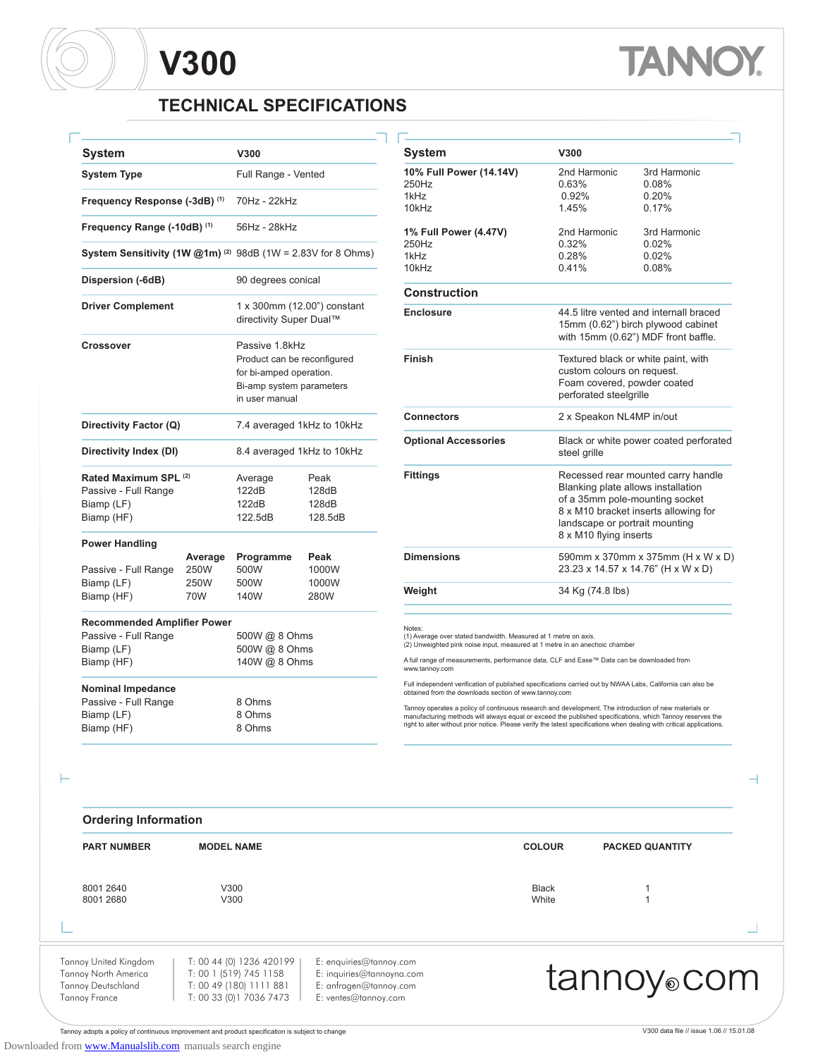# **TANK**

### **TECHNICAL SPECIFICATIONS**

| <b>System</b>                                                                          |                               | V300                                                                                                                   |                                   | <b>System</b>                                                                                                                                                                                    | V300                                      |
|----------------------------------------------------------------------------------------|-------------------------------|------------------------------------------------------------------------------------------------------------------------|-----------------------------------|--------------------------------------------------------------------------------------------------------------------------------------------------------------------------------------------------|-------------------------------------------|
| <b>System Type</b>                                                                     |                               | Full Range - Vented                                                                                                    |                                   | 10% Full Power (14.14V)<br>250Hz                                                                                                                                                                 | 2nd F<br>0.63%                            |
|                                                                                        |                               | 70Hz - 22kHz                                                                                                           |                                   | 1kHz                                                                                                                                                                                             | 0.92                                      |
|                                                                                        | Frequency Response (-3dB) (1) |                                                                                                                        |                                   | 10kHz                                                                                                                                                                                            | 1.45%                                     |
| Frequency Range (-10dB) (1)                                                            |                               | 56Hz - 28kHz                                                                                                           |                                   | 1% Full Power (4.47V)                                                                                                                                                                            | 2nd F                                     |
| System Sensitivity (1W $@1m$ ) <sup>(2)</sup> 98dB (1W = 2.83V for 8 Ohms)             |                               |                                                                                                                        |                                   | 250Hz<br>1kHz                                                                                                                                                                                    | 0.32%<br>0.28%                            |
| Dispersion (-6dB)                                                                      |                               | 90 degrees conical                                                                                                     |                                   | 10kHz                                                                                                                                                                                            | 0.41%                                     |
|                                                                                        |                               |                                                                                                                        |                                   | <b>Construction</b>                                                                                                                                                                              |                                           |
| <b>Driver Complement</b>                                                               |                               | directivity Super Dual™                                                                                                | 1 x 300mm (12.00") constant       | <b>Enclosure</b>                                                                                                                                                                                 | 44.5<br>15 <sub>mr</sub><br>with 1        |
| <b>Crossover</b>                                                                       |                               | Passive 1.8kHz<br>Product can be reconfigured<br>for bi-amped operation.<br>Bi-amp system parameters<br>in user manual |                                   | Finish                                                                                                                                                                                           | Textu<br>custo<br>Foam<br>perfo           |
| Directivity Factor (Q)                                                                 |                               |                                                                                                                        | 7.4 averaged 1kHz to 10kHz        | <b>Connectors</b>                                                                                                                                                                                | $2 \times S$                              |
| Directivity Index (DI)                                                                 |                               |                                                                                                                        | 8.4 averaged 1kHz to 10kHz        | <b>Optional Accessories</b>                                                                                                                                                                      | Black<br>steel                            |
| Rated Maximum SPL (2)<br>Passive - Full Range<br>Biamp (LF)<br>Biamp (HF)              |                               | Average<br>122dB<br>122dB<br>122.5dB                                                                                   | Peak<br>128dB<br>128dB<br>128.5dB | <b>Fittings</b>                                                                                                                                                                                  | Rece<br>Blank<br>of a 3<br>8 x M<br>lands |
| <b>Power Handling</b>                                                                  |                               |                                                                                                                        |                                   |                                                                                                                                                                                                  | 8 x M                                     |
|                                                                                        | Average                       | Programme                                                                                                              | Peak                              | <b>Dimensions</b>                                                                                                                                                                                | 590m                                      |
| Passive - Full Range                                                                   | 250W                          | 500W                                                                                                                   | 1000W                             |                                                                                                                                                                                                  | 23.23                                     |
| Biamp (LF)<br>Biamp (HF)                                                               | 250W<br>70W                   | 500W<br>140W                                                                                                           | 1000W<br>280W                     | Weight                                                                                                                                                                                           | 34 Kg                                     |
|                                                                                        |                               |                                                                                                                        |                                   |                                                                                                                                                                                                  |                                           |
| <b>Recommended Amplifier Power</b><br>Passive - Full Range<br>Biamp (LF)<br>Biamp (HF) |                               | 500W @ 8 Ohms<br>500W @ 8 Ohms<br>140W @ 8 Ohms                                                                        |                                   | Notes:<br>(1) Average over stated bandwidth. Measured at 1 metre on<br>(2) Unweighted pink noise input, measured at 1 metre in an a<br>A full range of measurements, performance data, CLF and E |                                           |
| <b>Nominal Impedance</b>                                                               |                               |                                                                                                                        |                                   | www.tannoy.com<br>Full independent verification of published specifications carri<br>obtained from the downloads section of www.tannoy.com                                                       |                                           |

| Svstem                      | V300                     |                                                                                                                                                                                                                |  |  |
|-----------------------------|--------------------------|----------------------------------------------------------------------------------------------------------------------------------------------------------------------------------------------------------------|--|--|
| 10% Full Power (14.14V)     | 2nd Harmonic             | 3rd Harmonic                                                                                                                                                                                                   |  |  |
| 250Hz                       | 0.63%                    | 0.08%                                                                                                                                                                                                          |  |  |
| 1kHz                        | 0.92%                    | 0.20%                                                                                                                                                                                                          |  |  |
| 10kHz                       | 1.45%                    | 0.17%                                                                                                                                                                                                          |  |  |
| 1% Full Power (4.47V)       | 2nd Harmonic             | 3rd Harmonic                                                                                                                                                                                                   |  |  |
| 250Hz                       | 0.32%                    | 0.02%                                                                                                                                                                                                          |  |  |
| 1kHz                        | 0.28%                    | 0.02%                                                                                                                                                                                                          |  |  |
| 10kHz                       | 0.41%                    | 0.08%                                                                                                                                                                                                          |  |  |
| Construction                |                          |                                                                                                                                                                                                                |  |  |
| <b>Enclosure</b>            |                          | 44.5 litre vented and internall braced<br>15mm (0.62") birch plywood cabinet<br>with 15mm (0.62") MDF front baffle.                                                                                            |  |  |
| Finish                      |                          | Textured black or white paint, with<br>custom colours on request.<br>Foam covered, powder coated<br>perforated steelgrille                                                                                     |  |  |
| <b>Connectors</b>           | 2 x Speakon NL4MP in/out |                                                                                                                                                                                                                |  |  |
| <b>Optional Accessories</b> | steel grille             | Black or white power coated perforated                                                                                                                                                                         |  |  |
| <b>Fittings</b>             |                          | Recessed rear mounted carry handle<br>Blanking plate allows installation<br>of a 35mm pole-mounting socket<br>8 x M10 bracket inserts allowing for<br>landscape or portrait mounting<br>8 x M10 flying inserts |  |  |
| <b>Dimensions</b>           |                          | 590mm x 370mm x 375mm (H x W x D)<br>23.23 x 14.57 x 14.76" (H x W x D)                                                                                                                                        |  |  |
|                             |                          |                                                                                                                                                                                                                |  |  |

(1) Average over stated bandwidth. Measured at 1 metre on axis. (2) Unweighted pink noise input, measured at 1 metre in an anechoic chamber

A full range of measurements, performance data, CLF and Ease™ Data can be downloaded from www.tannoy.com

Full independent verification of published specifications carried out by NWAA Labs, California can also be obtained from the downloads section of www.tannoy.com

Tannoy operates a policy of continuous research and development. The introduction of new materials or<br>manufacturing methods will always equal or exceed the published specifications, which Tannoy reserves the<br>right to alter

Н

٢

Biamp (HF)

| <b>Ordering Information</b>                                                                 |                                                                                                           |                                                                                                        |                       |                         |  |
|---------------------------------------------------------------------------------------------|-----------------------------------------------------------------------------------------------------------|--------------------------------------------------------------------------------------------------------|-----------------------|-------------------------|--|
| <b>PART NUMBER</b>                                                                          | <b>MODEL NAME</b>                                                                                         |                                                                                                        | <b>COLOUR</b>         | <b>PACKED QUANTITY</b>  |  |
| 8001 2640<br>8001 2680                                                                      | V300<br>V300                                                                                              |                                                                                                        | <b>Black</b><br>White |                         |  |
|                                                                                             |                                                                                                           |                                                                                                        |                       |                         |  |
| Tannoy United Kingdom<br>Tannoy North America<br><b>Tannoy Deutschland</b><br>Tannoy France | T: 00 44 (0) 1236 420199<br>T: 00 1 (519) 745 1158<br>T: 00 49 (180) 1111 881<br>T: 00 33 (0) 1 7036 7473 | E: enquiries@tannoy.com<br>E: inquiries@tannoyna.com<br>E: anfragen@tannoy.com<br>E: ventes@tannoy.com |                       | tannoy <sub>o</sub> com |  |

Tannoy adopts a policy of continuous improvement and product specification is subject to change V300 data file // issue 1.06 // 15.01.08

Passive - Full Range and a 8 Ohms Biamp (LF) 8 Ohms<br>Biamp (HF) 8 Ohms

 $\overline{\phantom{0}}$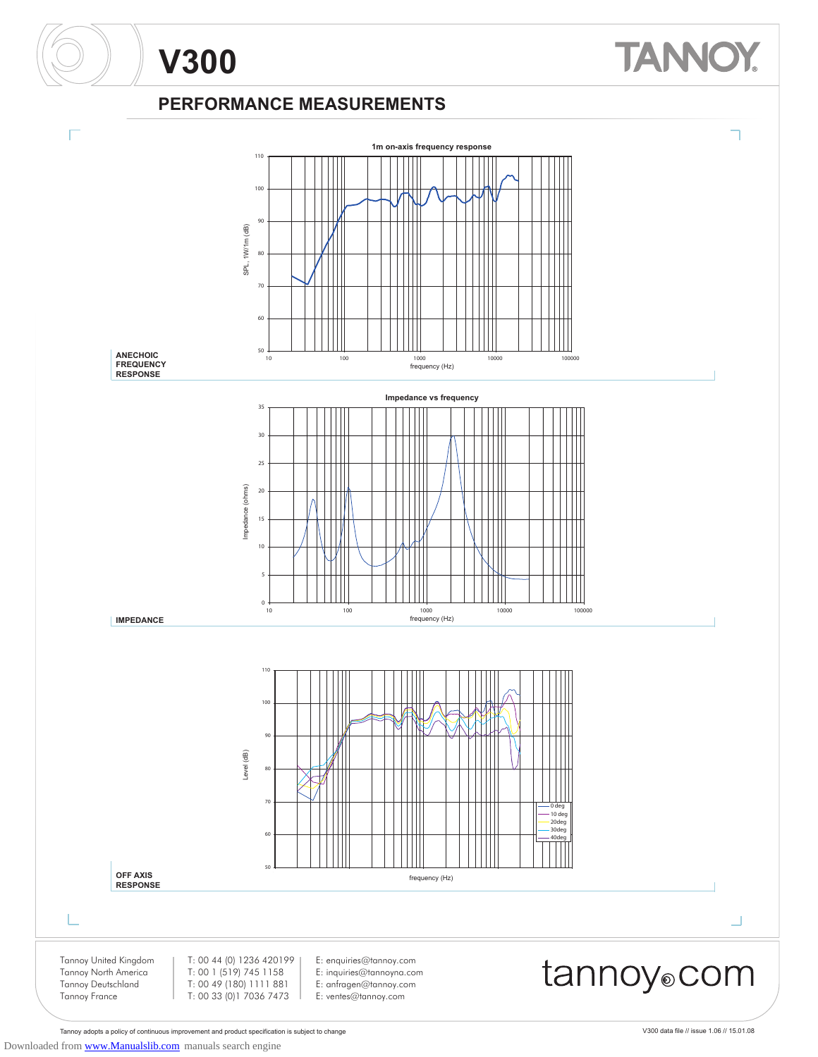### **PERFORMANCE MEASUREMENTS**

**V300**



Tannoy adopts a policy of continuous improvement and product specification is subject to change V300 data file // issue 1.06 // 15.01.08

**TANNO**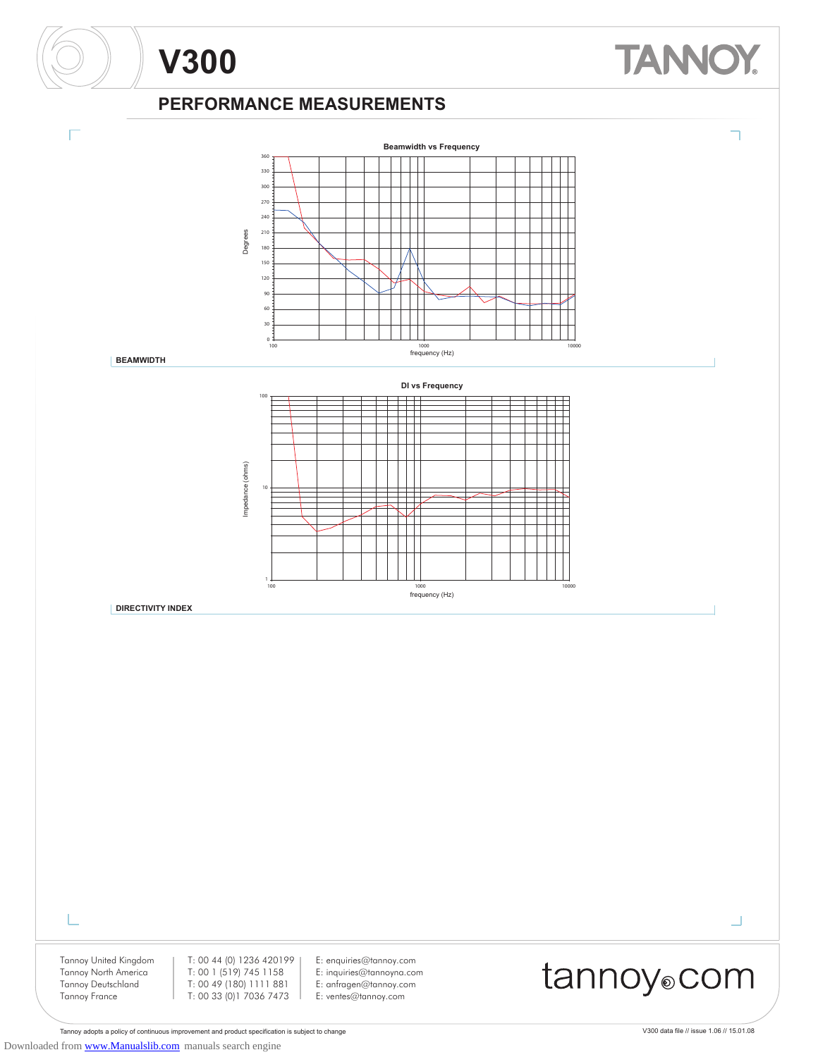#### **PERFORMANCE MEASUREMENTS**



Tannoy adopts a policy of continuous improvement and product specification is subject to change V300 data file // issue 1.06 // 15.01.08 Downloaded from [www.Manualslib.com](http://www.manualslib.com/) manuals search engine

**TANNOY**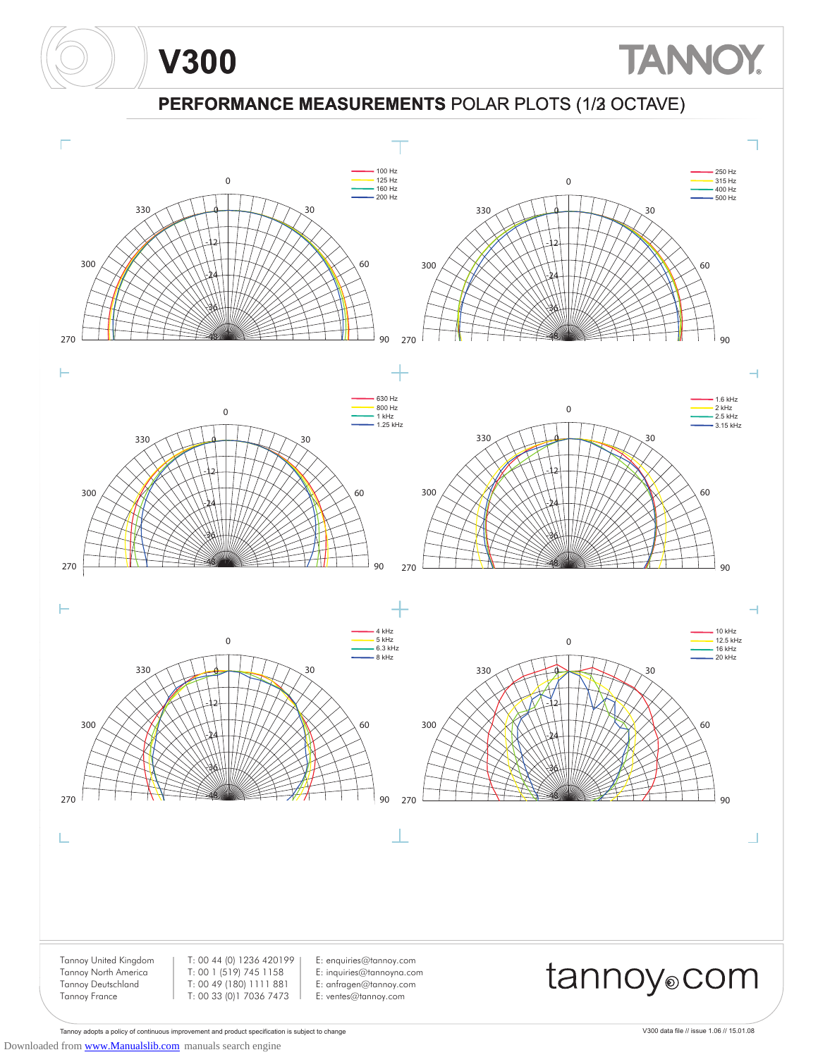### **PERFORMANCE MEASUREMENTS** POLAR PLOTS (1/3 OCTAVE) (1/2



Tannoy adopts a policy of continuous improvement and product specification is subject to change V300 data file // issue 1.06 // 15.01.08 Downloaded from [www.Manualslib.com](http://www.manualslib.com/) manuals search engine

**V300**

**TANNOY**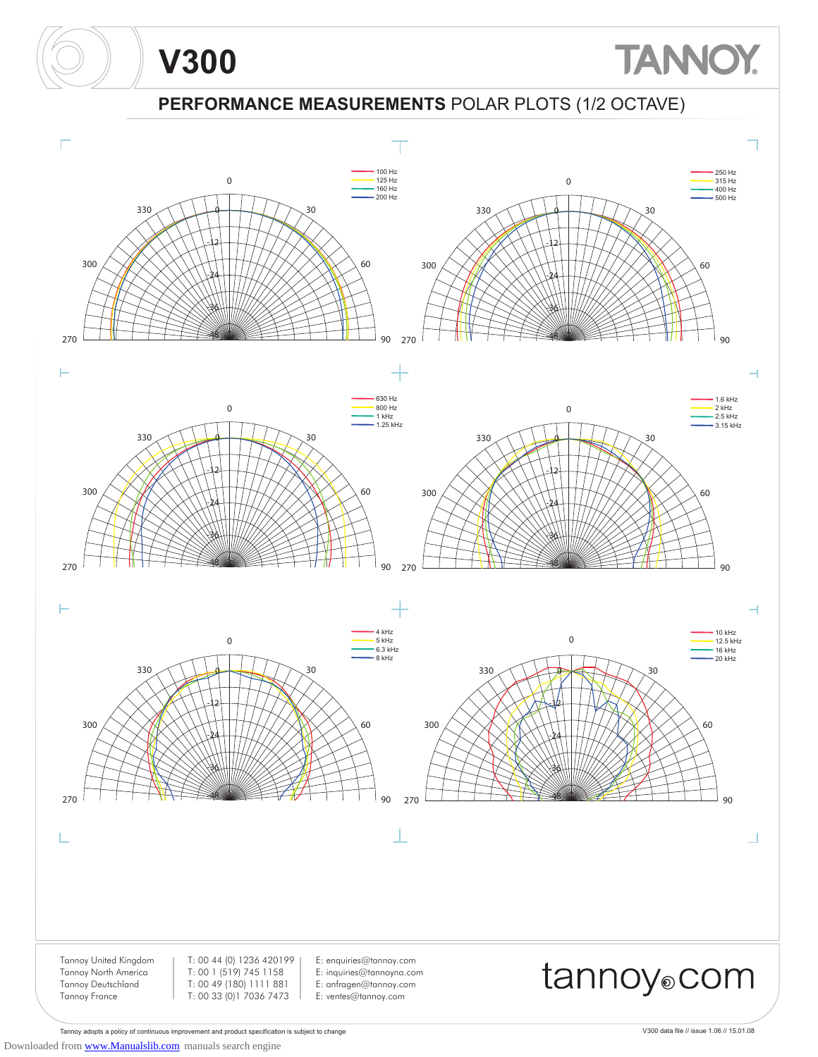### **PERFORMANCE MEASUREMENTS** POLAR PLOTS (1/2 OCTAVE)



Tannoy adopts a policy of continuous improvement and product specification is subject to change V300 data file // issue 1.06 // 15.01.08 Downloaded from [www.Manualslib.com](http://www.manualslib.com/) manuals search engine

**V300**

**TANNOY**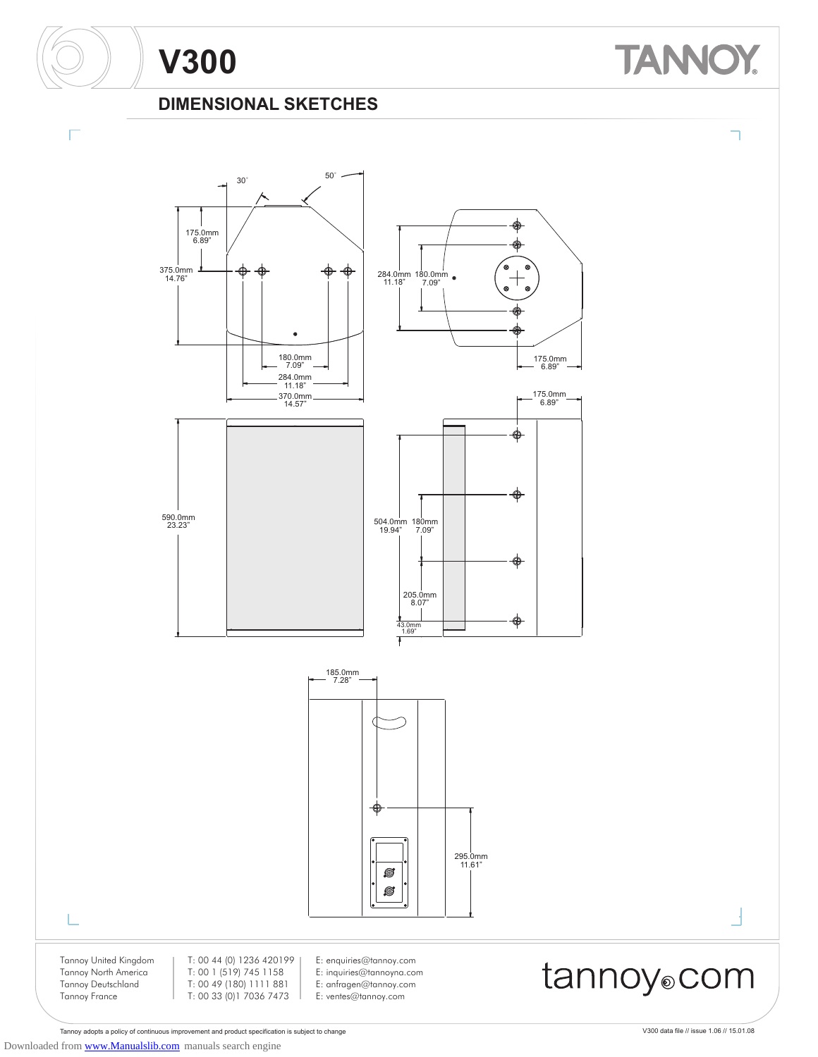#### **DIMENSIONAL SKETCHES**



Tannoy adopts a policy of continuous improvement and product specification is subject to change V300 data file // issue 1.06 // 15.01.08 Downloaded from [www.Manualslib.com](http://www.manualslib.com/) manuals search engine

**TANNOY.**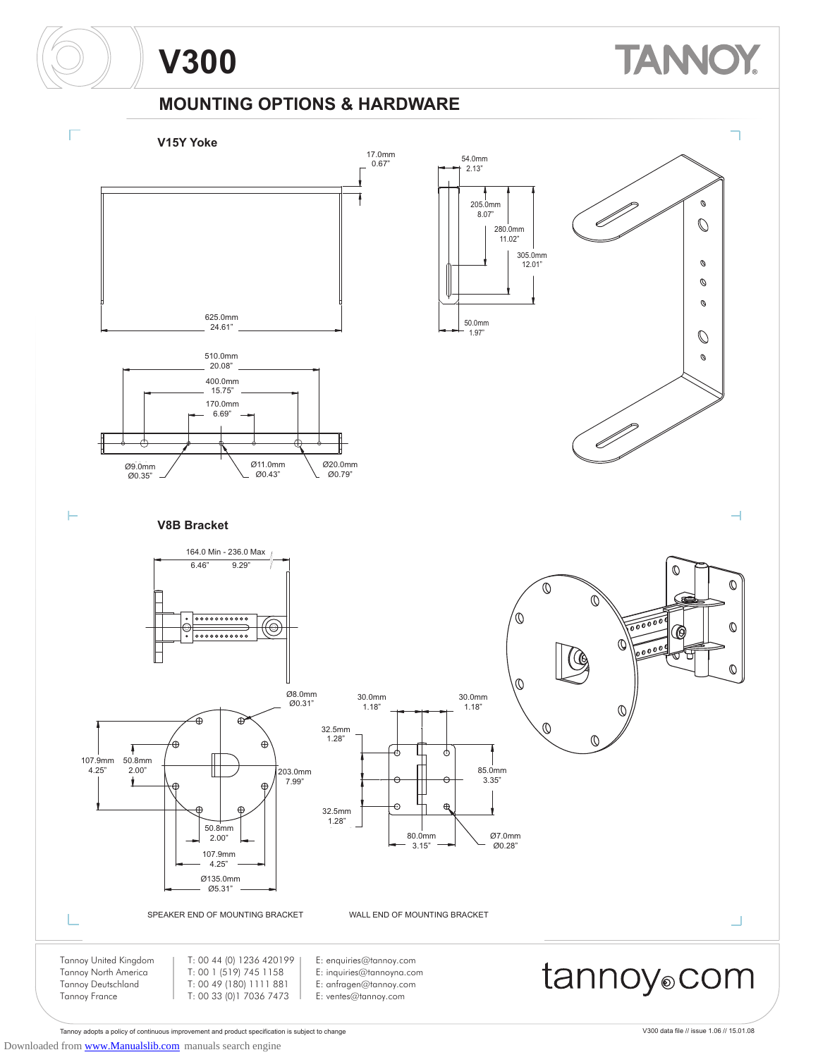# **TANNO**

### **MOUNTING OPTIONS & HARDWARE**



Tannoy adopts a policy of continuous improvement and product specification is subject to change V300 data file // issue 1.06 // 15.01.08

Downloaded from [www.Manualslib.com](http://www.manualslib.com/) manuals search engine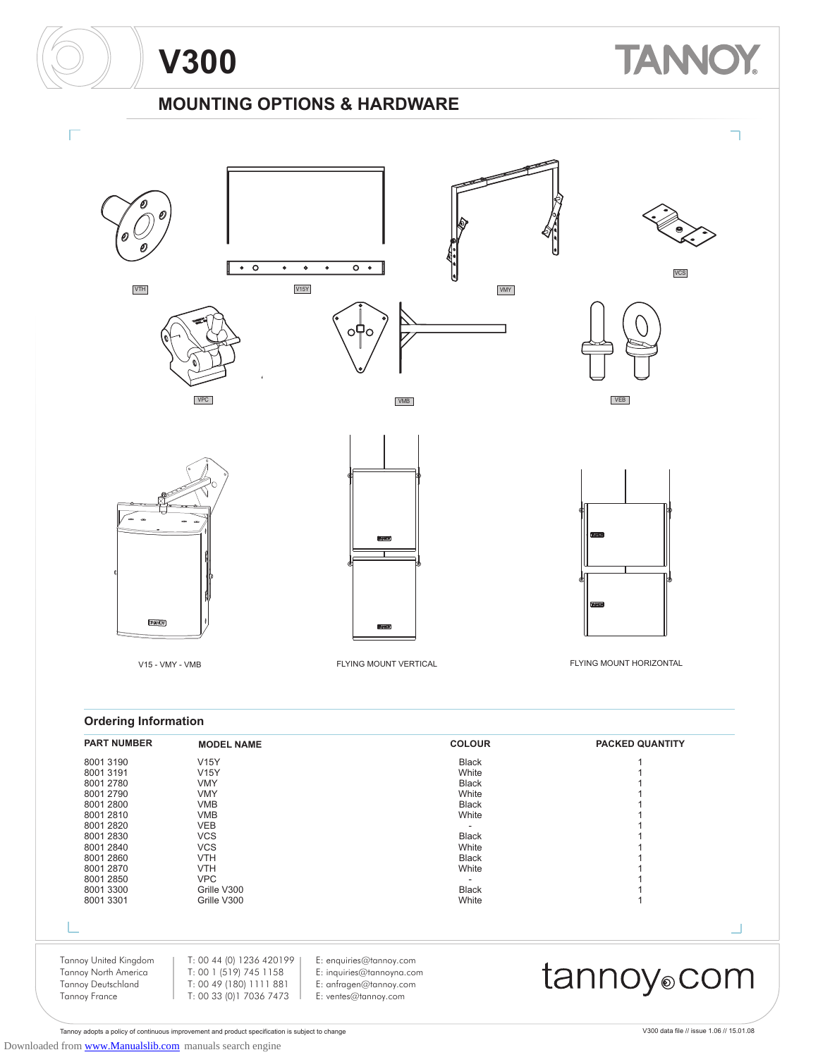### **TANNO** Y.

### **MOUNTING OPTIONS & HARDWARE**



| <b>PART NUMBER</b>                                                                                                                                                                | <b>MODEL NAME</b>                                                                                                                                                                                    |                                                                                                        | <b>COLOUR</b>                                                                                                                                      | <b>PACKED QUANTITY</b>  |
|-----------------------------------------------------------------------------------------------------------------------------------------------------------------------------------|------------------------------------------------------------------------------------------------------------------------------------------------------------------------------------------------------|--------------------------------------------------------------------------------------------------------|----------------------------------------------------------------------------------------------------------------------------------------------------|-------------------------|
| 8001 3190<br>80013191<br>8001 2780<br>8001 2790<br>8001 2800<br>8001 2810<br>8001 2820<br>8001 2830<br>8001 2840<br>8001 2860<br>8001 2870<br>8001 2850<br>8001 3300<br>8001 3301 | <b>V15Y</b><br><b>V15Y</b><br><b>VMY</b><br><b>VMY</b><br><b>VMB</b><br><b>VMB</b><br><b>VEB</b><br><b>VCS</b><br><b>VCS</b><br><b>VTH</b><br><b>VTH</b><br><b>VPC</b><br>Grille V300<br>Grille V300 |                                                                                                        | <b>Black</b><br>White<br><b>Black</b><br>White<br><b>Black</b><br>White<br><b>Black</b><br>White<br><b>Black</b><br>White<br><b>Black</b><br>White |                         |
|                                                                                                                                                                                   |                                                                                                                                                                                                      |                                                                                                        |                                                                                                                                                    |                         |
| Tannoy United Kingdom<br>Tannoy North America<br><b>Tannoy Deutschland</b><br><b>Tannoy France</b>                                                                                | T: 00 44 (0) 1236 420199  <br>T: 00 1 (519) 745 1158<br>T: 00 49 (180) 1111 881<br>T: 00 33 (0) 1 7036 7473                                                                                          | E: enquiries@tannoy.com<br>E: inquiries@tannoyna.com<br>E: anfragen@tannoy.com<br>E: ventes@tannoy.com |                                                                                                                                                    | tannoy <sub>®</sub> com |

Tannoy adopts a policy of continuous improvement and product specification is subject to change V300 data file // issue 1.06 // 15.01.08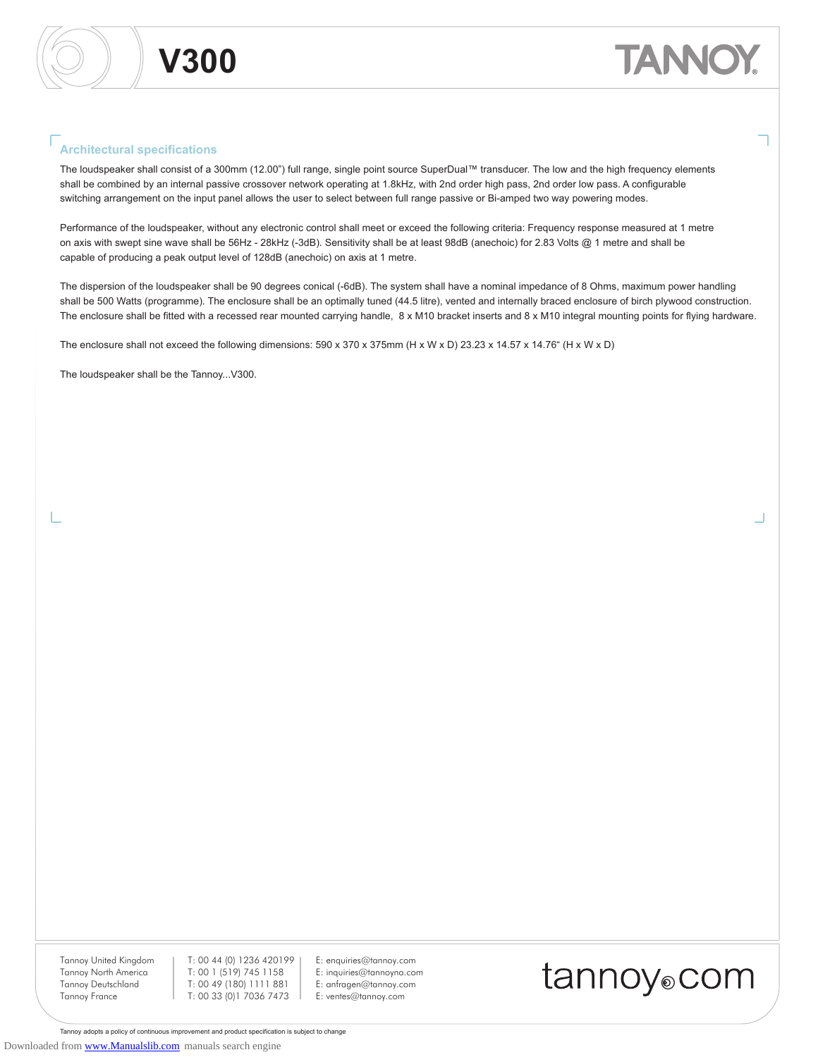#### **Architectural specifications**

The loudspeaker shall consist of a 300mm (12.00") full range, single point source SuperDual™ transducer. The low and the high frequency elements shall be combined by an internal passive crossover network operating at 1.8kHz, with 2nd order high pass, 2nd order low pass. A configurable switching arrangement on the input panel allows the user to select between full range passive or Bi-amped two way powering modes.

Performance of the loudspeaker, without any electronic control shall meet or exceed the following criteria: Frequency response measured at 1 metre on axis with swept sine wave shall be 56Hz - 28kHz (-3dB). Sensitivity shall be at least 98dB (anechoic) for 2.83 Volts @ 1 metre and shall be capable of producing a peak output level of 128dB (anechoic) on axis at 1 metre.

The dispersion of the loudspeaker shall be 90 degrees conical (-6dB). The system shall have a nominal impedance of 8 Ohms, maximum power handling shall be 500 Watts (programme). The enclosure shall be an optimally tuned (44.5 litre), vented and internally braced enclosure of birch plywood construction. The enclosure shall be fitted with a recessed rear mounted carrying handle, 8 x M10 bracket inserts and 8 x M10 integral mounting points for flying hardware.

The enclosure shall not exceed the following dimensions: 590 x 370 x 375mm (H x W x D) 23.23 x 14.57 x 14.76" (H x W x D)

The loudspeaker shall be the Tannoy...V300.

Tannoy United Kingdom Tannoy North America Tannoy Deutschland Tannoy France

T: 00 44 (0) 1236 420199 T: 00 1 (519) 745 1158 T: 00 49 (180) 1111 881 T: 00 33 (0)1 7036 7473

E: enquiries@tannoy.com E: inquiries@tannoyna.com E: anfragen@tannoy.com E: ventes@tannoy.com



Tannoy adopts a policy of continuous improvement and product specification is subject to change